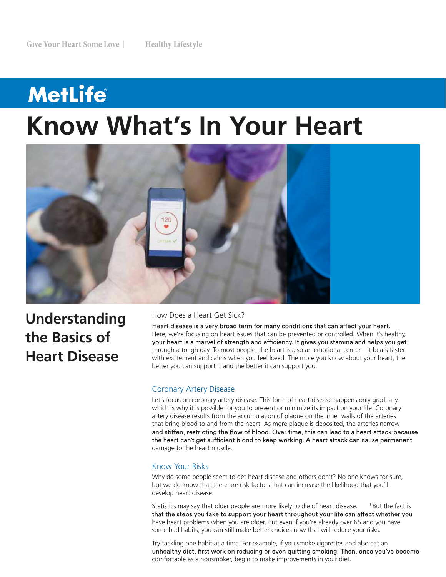# **MetLife Know What's In Your Heart**



**Understanding the Basics of Heart Disease**

## How Does a Heart Get Sick?

Heart disease is a very broad term for many conditions that can affect your heart. Here, we're focusing on heart issues that can be prevented or controlled. When it's healthy, your heart is a marvel of strength and efficiency. It gives you stamina and helps you get through a tough day. To most people, the heart is also an emotional center—it beats faster with excitement and calms when you feel loved. The more you know about your heart, the better you can support it and the better it can support you.

### Coronary Artery Disease

Let's focus on coronary artery disease. This form of heart disease happens only gradually, which is why it is possible for you to prevent or minimize its impact on your life. Coronary artery disease results from the accumulation of plaque on the inner walls of the arteries that bring blood to and from the heart. As more plaque is deposited, the arteries narrow and stiffen, restricting the flow of blood. Over time, this can lead to a heart attack because the heart can't get sufficient blood to keep working. A heart attack can cause permanent damage to the heart muscle.

# Know Your Risks

Why do some people seem to get heart disease and others don't? No one knows for sure, but we do know that there are risk factors that can increase the likelihood that you'll develop heart disease.

Statistics may say that older people are more likely to die of heart disease. <sup>1</sup> But the fact is that the steps you take to support your heart throughout your life can affect whether you have heart problems when you are older. But even if you're already over 65 and you have some bad habits, you can still make better choices now that will reduce your risks.

Try tackling one habit at a time. For example, if you smoke cigarettes and also eat an unhealthy diet, first work on reducing or even quitting smoking. Then, once you've become comfortable as a nonsmoker, begin to make improvements in your diet.